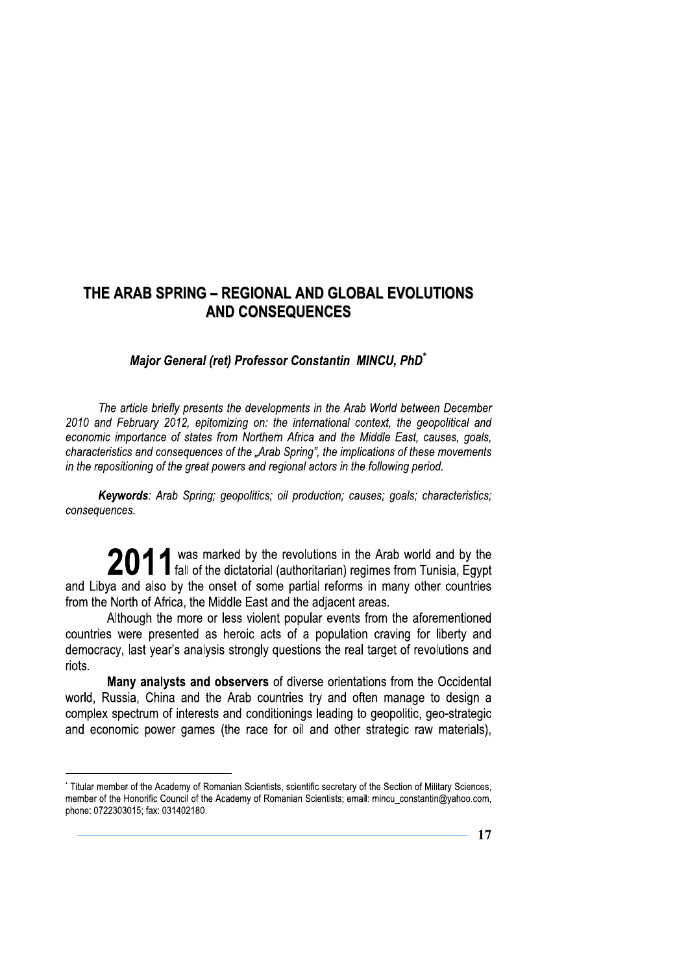## Maior General (ret) Professor Constantin MINCU, PhD<sup>\*</sup>

The article briefly presents the developments in the Arab World between December 2010 and February 2012, epitomizing on: the international context, the geopolitical and economic importance of states from Northern Africa and the Middle East, causes, goals, characteristics and consequences of the "Arab Spring", the implications of these movements in the repositioning of the great powers and regional actors in the following period.

Keywords: Arab Spring; geopolitics; oil production; causes; goals; characteristics; consequences.

2011 fall of the dictatorial (authoritarian) regimes from Tunisia, Egypt and Libya and also by the onset of some partial reforms in many other countries from the North of Africa, the Middle East and the adjacent areas.

Although the more or less violent popular events from the aforementioned countries were presented as heroic acts of a population craving for liberty and democracy, last year's analysis strongly questions the real target of revolutions and riots.

Many analysts and observers of diverse orientations from the Occidental world, Russia, China and the Arab countries try and often manage to design a complex spectrum of interests and conditionings leading to geopolitic, geo-strategic and economic power games (the race for oil and other strategic raw materials).

<sup>\*</sup> Titular member of the Academy of Romanian Scientists, scientific secretary of the Section of Military Sciences, member of the Honorific Council of the Academy of Romanian Scientists; email: mincu constantin@yahoo.com, phone: 0722303015; fax: 031402180.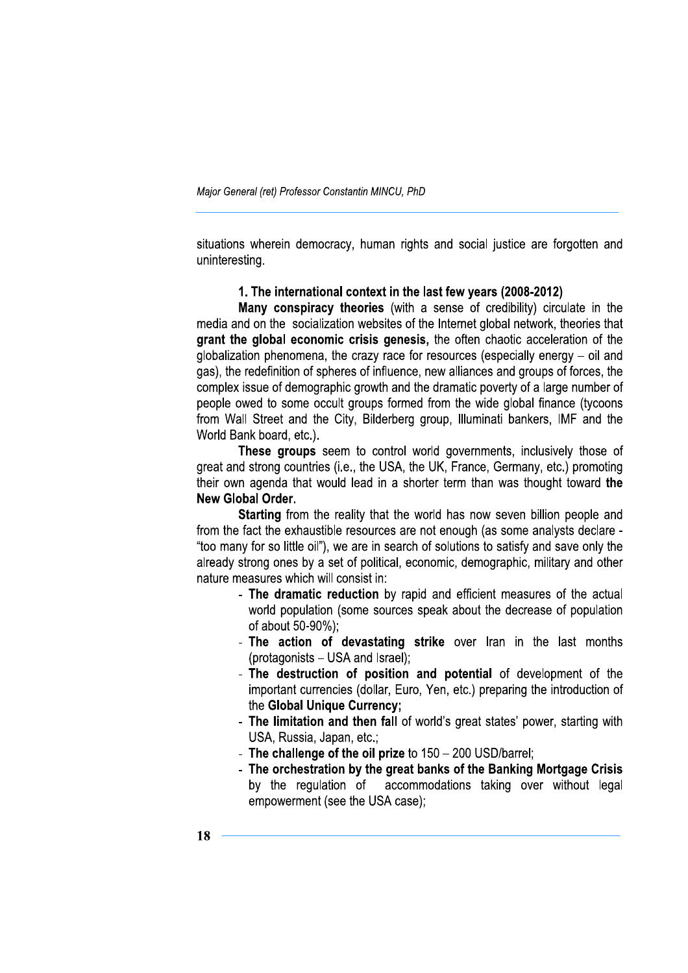Maior General (ret) Professor Constantin MINCU, PhD

situations wherein democracy, human rights and social justice are forgotten and uninteresting.

#### 1. The international context in the last few years (2008-2012)

Many conspiracy theories (with a sense of credibility) circulate in the media and on the socialization websites of the Internet global network, theories that grant the global economic crisis genesis, the often chaotic acceleration of the globalization phenomena, the crazy race for resources (especially energy - oil and gas), the redefinition of spheres of influence, new alliances and groups of forces, the complex issue of demographic growth and the dramatic poverty of a large number of people owed to some occult groups formed from the wide global finance (tycoons from Wall Street and the City, Bilderberg group, Illuminati bankers, IMF and the World Bank board, etc.).

These groups seem to control world governments, inclusively those of great and strong countries (i.e., the USA, the UK, France, Germany, etc.) promoting their own agenda that would lead in a shorter term than was thought toward the New Global Order.

**Starting** from the reality that the world has now seven billion people and from the fact the exhaustible resources are not enough (as some analysts declare -"too many for so little oil"), we are in search of solutions to satisfy and save only the already strong ones by a set of political, economic, demographic, military and other nature measures which will consist in:

- The dramatic reduction by rapid and efficient measures of the actual world population (some sources speak about the decrease of population of about 50-90%);
- The action of devastating strike over Iran in the last months (protagonists - USA and Israel);
- The destruction of position and potential of development of the important currencies (dollar, Euro, Yen, etc.) preparing the introduction of the Global Unique Currency:
- The limitation and then fall of world's great states' power, starting with USA, Russia, Japan, etc.;
- The challenge of the oil prize to 150 200 USD/barrel;
- The orchestration by the great banks of the Banking Mortgage Crisis by the regulation of accommodations taking over without legal empowerment (see the USA case);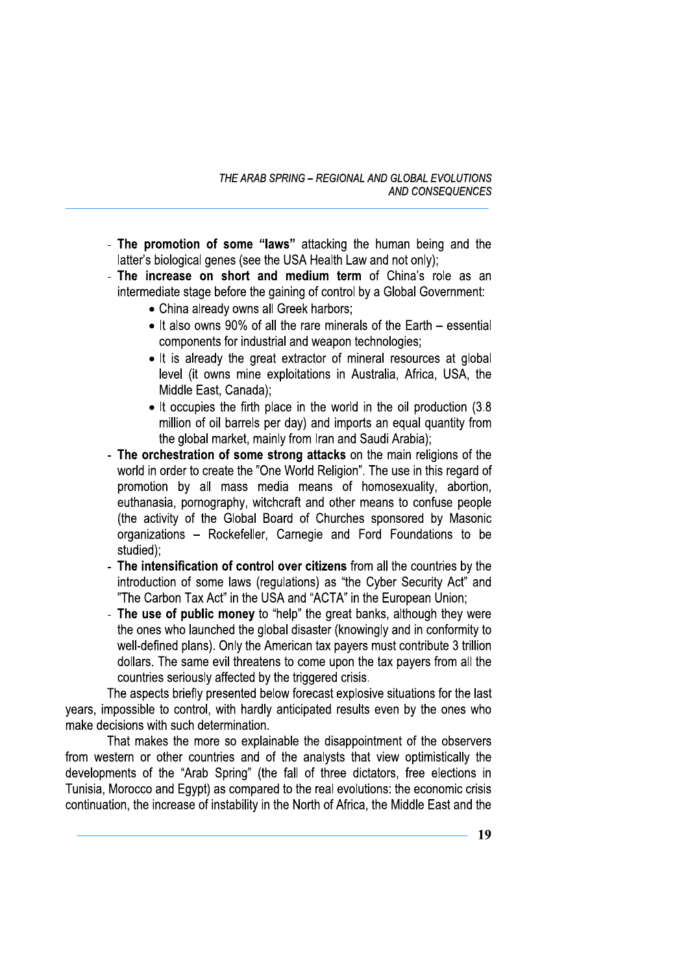- The promotion of some "laws" attacking the human being and the latter's biological genes (see the USA Health Law and not only):
- The increase on short and medium term of China's role as an intermediate stage before the gaining of control by a Global Government:
	- China already owns all Greek harbors;
	- It also owns 90% of all the rare minerals of the Earth essential components for industrial and weapon technologies;
	- It is already the great extractor of mineral resources at global level (it owns mine exploitations in Australia, Africa, USA, the Middle East, Canada);
	- It occupies the firth place in the world in the oil production (3.8) million of oil barrels per day) and imports an equal quantity from the global market, mainly from Iran and Saudi Arabia);
- The orchestration of some strong attacks on the main religions of the world in order to create the "One World Religion". The use in this regard of promotion by all mass media means of homosexuality, abortion, euthanasia, pornography, witchcraft and other means to confuse people (the activity of the Global Board of Churches sponsored by Masonic organizations - Rockefeller, Carnegie and Ford Foundations to be studied);
- The intensification of control over citizens from all the countries by the introduction of some laws (regulations) as "the Cyber Security Act" and "The Carbon Tax Act" in the USA and "ACTA" in the European Union;
- The use of public money to "help" the great banks, although they were the ones who launched the global disaster (knowingly and in conformity to well-defined plans). Only the American tax payers must contribute 3 trillion dollars. The same evil threatens to come upon the tax payers from all the countries seriously affected by the triggered crisis.

The aspects briefly presented below forecast explosive situations for the last years, impossible to control, with hardly anticipated results even by the ones who make decisions with such determination.

That makes the more so explainable the disappointment of the observers from western or other countries and of the analysts that view optimistically the developments of the "Arab Spring" (the fall of three dictators, free elections in Tunisia, Morocco and Egypt) as compared to the real evolutions: the economic crisis continuation, the increase of instability in the North of Africa, the Middle East and the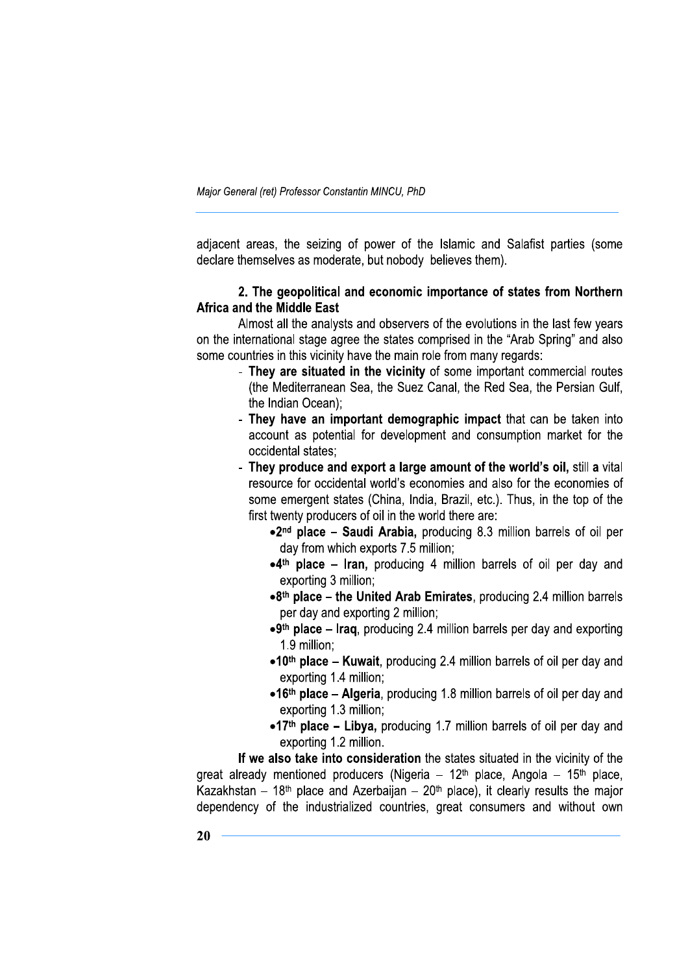Maior General (ret) Professor Constantin MINCU, PhD

adjacent areas, the seizing of power of the Islamic and Salafist parties (some declare themselves as moderate, but nobody believes them).

## 2. The geopolitical and economic importance of states from Northern **Africa and the Middle East**

Almost all the analysts and observers of the evolutions in the last few vears on the international stage agree the states comprised in the "Arab Spring" and also some countries in this vicinity have the main role from many regards:

- They are situated in the vicinity of some important commercial routes (the Mediterranean Sea, the Suez Canal, the Red Sea, the Persian Gulf. the Indian Ocean):
- They have an important demographic impact that can be taken into account as potential for development and consumption market for the occidental states:
- They produce and export a large amount of the world's oil, still a vital resource for occidental world's economies and also for the economies of some emergent states (China, India, Brazil, etc.). Thus, in the top of the first twenty producers of oil in the world there are:
	- •2<sup>nd</sup> place Saudi Arabia, producing 8.3 million barrels of oil per day from which exports 7.5 million;
	- •4<sup>th</sup> place Iran, producing 4 million barrels of oil per day and exporting 3 million;
	- $\bullet$ 8<sup>th</sup> place the United Arab Emirates, producing 2.4 million barrels per day and exporting 2 million;
	- •9<sup>th</sup> place Irag, producing 2.4 million barrels per day and exporting 1.9 million:
	- •10<sup>th</sup> place Kuwait, producing 2.4 million barrels of oil per day and exporting 1.4 million;
	- •16<sup>th</sup> place Algeria, producing 1.8 million barrels of oil per day and exporting 1.3 million:
	- •17th place Libya, producing 1.7 million barrels of oil per day and exporting 1.2 million.

If we also take into consideration the states situated in the vicinity of the great already mentioned producers (Nigeria - 12<sup>th</sup> place, Angola - 15<sup>th</sup> place, Kazakhstan - 18<sup>th</sup> place and Azerbaijan - 20<sup>th</sup> place), it clearly results the major dependency of the industrialized countries, great consumers and without own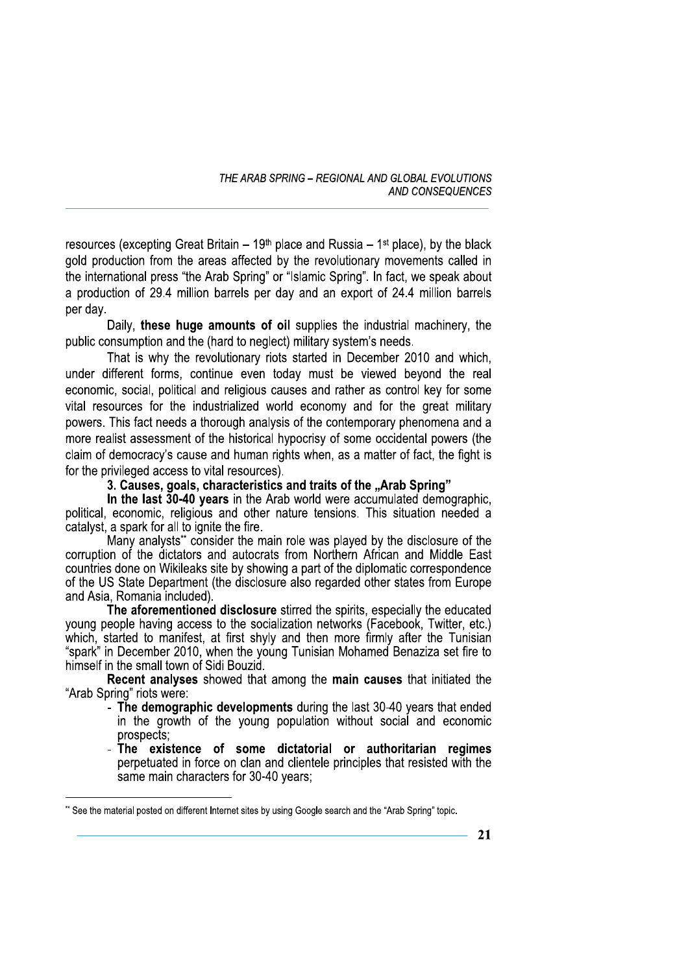resources (excepting Great Britain – 19<sup>th</sup> place and Russia – 1<sup>st</sup> place), by the black gold production from the areas affected by the revolutionary movements called in the international press "the Arab Spring" or "Islamic Spring". In fact, we speak about a production of 29.4 million barrels per day and an export of 24.4 million barrels per day.

Daily, these huge amounts of oil supplies the industrial machinery, the public consumption and the (hard to neglect) military system's needs.

That is why the revolutionary riots started in December 2010 and which, under different forms, continue even today must be viewed beyond the real economic, social, political and religious causes and rather as control key for some vital resources for the industrialized world economy and for the great military powers. This fact needs a thorough analysis of the contemporary phenomena and a more realist assessment of the historical hypocrisy of some occidental powers (the claim of democracy's cause and human rights when, as a matter of fact, the fight is for the privileged access to vital resources).

3. Causes, goals, characteristics and traits of the "Arab Spring"

In the last 30-40 vears in the Arab world were accumulated demographic. political, economic, religious and other nature tensions. This situation needed a catalyst, a spark for all to ignite the fire.

Many analysts\*\* consider the main role was played by the disclosure of the corruption of the dictators and autocrats from Northern African and Middle East countries done on Wikileaks site by showing a part of the diplomatic correspondence of the US State Department (the disclosure also regarded other states from Europe and Asia, Romania included).

The aforementioned disclosure stirred the spirits, especially the educated young people having access to the socialization networks (Facebook, Twitter, etc.) which, started to manifest, at first shyly and then more firmly after the Tunisian "spark" in December 2010, when the young Tunisian Mohamed Benaziza set fire to himself in the small town of Sidi Bouzid.

Recent analyses showed that among the main causes that initiated the "Arab Spring" riots were:

- The demographic developments during the last 30-40 years that ended in the growth of the young population without social and economic prospects:
- The existence of some dictatorial or authoritarian regimes perpetuated in force on clan and clientele principles that resisted with the same main characters for 30-40 years;

<sup>\*\*</sup> See the material posted on different Internet sites by using Google search and the "Arab Spring" topic.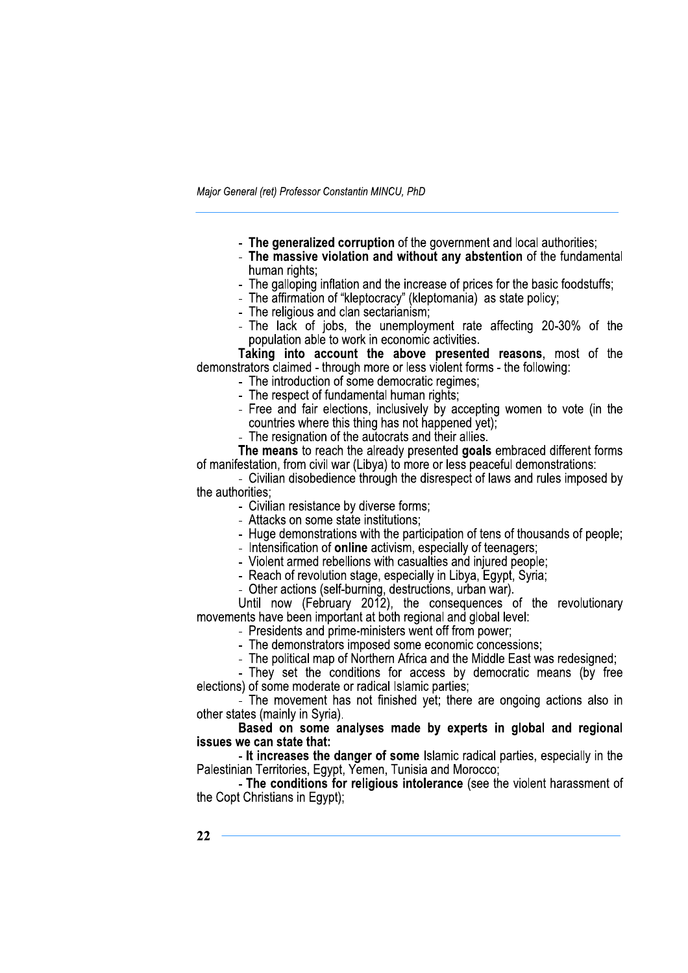Maior General (ret) Professor Constantin MINCU, PhD

- The generalized corruption of the government and local authorities;
- The massive violation and without any abstention of the fundamental human rights:
- The galloping inflation and the increase of prices for the basic foodstuffs;
- The affirmation of "kleptocracy" (kleptomania) as state policy;
- The religious and clan sectarianism:
- The lack of jobs, the unemployment rate affecting 20-30% of the population able to work in economic activities.

Taking into account the above presented reasons, most of the demonstrators claimed - through more or less violent forms - the following:

- The introduction of some democratic regimes;
- The respect of fundamental human rights:
- Free and fair elections, inclusively by accepting women to vote (in the countries where this thing has not happened yet);
- The resignation of the autocrats and their allies.

The means to reach the already presented goals embraced different forms of manifestation, from civil war (Libya) to more or less peaceful demonstrations:

- Civilian disobedience through the disrespect of laws and rules imposed by the authorities:

- Civilian resistance by diverse forms:
- Attacks on some state institutions;
- Huge demonstrations with the participation of tens of thousands of people;
- Intensification of online activism, especially of teenagers:
- Violent armed rebellions with casualties and injured people;
- Reach of revolution stage, especially in Libya, Egypt, Syria;
- Other actions (self-burning, destructions, urban war).

Until now (February 2012), the consequences of the revolutionary movements have been important at both regional and global level:

- Presidents and prime-ministers went off from power;
- The demonstrators imposed some economic concessions:
- The political map of Northern Africa and the Middle East was redesigned;

- They set the conditions for access by democratic means (by free elections) of some moderate or radical Islamic parties;

- The movement has not finished yet; there are ongoing actions also in other states (mainly in Syria).

#### Based on some analyses made by experts in global and regional issues we can state that:

- It increases the danger of some Islamic radical parties, especially in the Palestinian Territories, Egypt, Yemen, Tunisia and Morocco;

- The conditions for religious intolerance (see the violent harassment of the Copt Christians in Egypt);